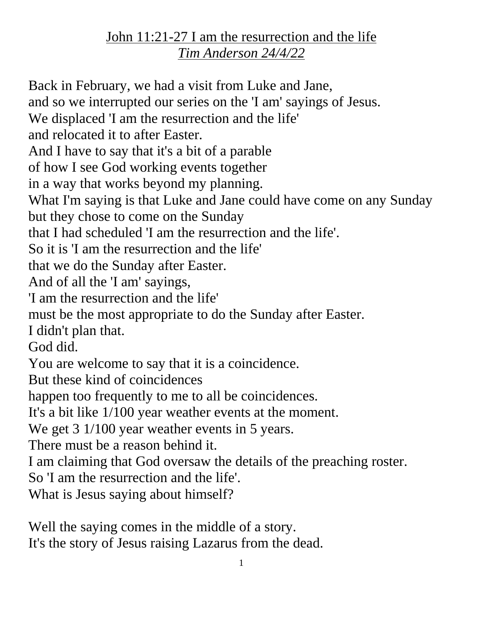## John 11:21-27 I am the resurrection and the life *Tim Anderson 24/4/22*

Back in February, we had a visit from Luke and Jane, and so we interrupted our series on the 'I am' sayings of Jesus. We displaced 'I am the resurrection and the life' and relocated it to after Easter. And I have to say that it's a bit of a parable of how I see God working events together in a way that works beyond my planning. What I'm saying is that Luke and Jane could have come on any Sunday but they chose to come on the Sunday that I had scheduled 'I am the resurrection and the life'. So it is 'I am the resurrection and the life' that we do the Sunday after Easter. And of all the 'I am' sayings, 'I am the resurrection and the life' must be the most appropriate to do the Sunday after Easter. I didn't plan that. God did. You are welcome to say that it is a coincidence. But these kind of coincidences happen too frequently to me to all be coincidences. It's a bit like 1/100 year weather events at the moment. We get 3 1/100 year weather events in 5 years. There must be a reason behind it. I am claiming that God oversaw the details of the preaching roster. So 'I am the resurrection and the life'. What is Jesus saying about himself?

Well the saying comes in the middle of a story. It's the story of Jesus raising Lazarus from the dead.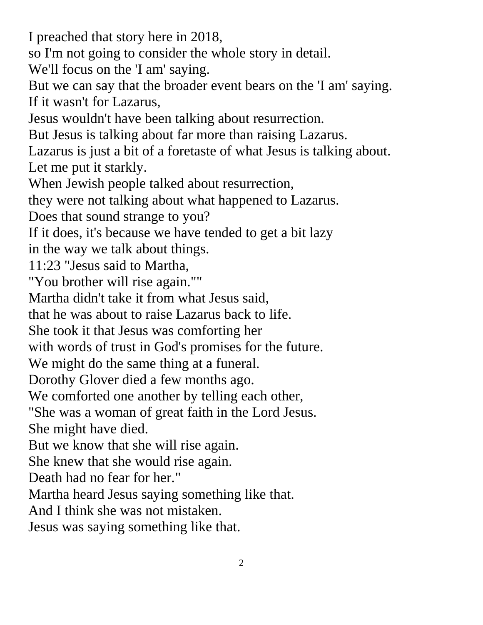I preached that story here in 2018, so I'm not going to consider the whole story in detail. We'll focus on the 'I am' saying. But we can say that the broader event bears on the 'I am' saying. If it wasn't for Lazarus, Jesus wouldn't have been talking about resurrection. But Jesus is talking about far more than raising Lazarus. Lazarus is just a bit of a foretaste of what Jesus is talking about. Let me put it starkly. When Jewish people talked about resurrection, they were not talking about what happened to Lazarus. Does that sound strange to you? If it does, it's because we have tended to get a bit lazy in the way we talk about things. 11:23 "Jesus said to Martha, "You brother will rise again."" Martha didn't take it from what Jesus said, that he was about to raise Lazarus back to life. She took it that Jesus was comforting her with words of trust in God's promises for the future. We might do the same thing at a funeral. Dorothy Glover died a few months ago. We comforted one another by telling each other, "She was a woman of great faith in the Lord Jesus. She might have died. But we know that she will rise again. She knew that she would rise again. Death had no fear for her." Martha heard Jesus saying something like that. And I think she was not mistaken. Jesus was saying something like that.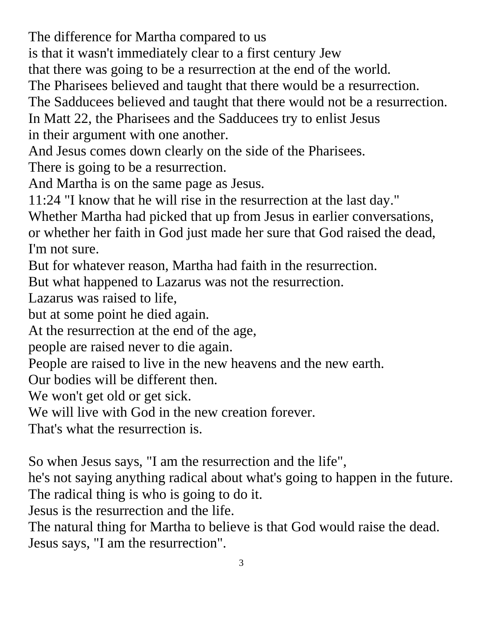The difference for Martha compared to us

is that it wasn't immediately clear to a first century Jew

that there was going to be a resurrection at the end of the world.

The Pharisees believed and taught that there would be a resurrection.

The Sadducees believed and taught that there would not be a resurrection.

In Matt 22, the Pharisees and the Sadducees try to enlist Jesus in their argument with one another.

And Jesus comes down clearly on the side of the Pharisees.

There is going to be a resurrection.

And Martha is on the same page as Jesus.

11:24 "I know that he will rise in the resurrection at the last day."

Whether Martha had picked that up from Jesus in earlier conversations, or whether her faith in God just made her sure that God raised the dead,

I'm not sure.

But for whatever reason, Martha had faith in the resurrection.

But what happened to Lazarus was not the resurrection.

Lazarus was raised to life,

but at some point he died again.

At the resurrection at the end of the age,

people are raised never to die again.

People are raised to live in the new heavens and the new earth.

Our bodies will be different then.

We won't get old or get sick.

We will live with God in the new creation forever.

That's what the resurrection is.

So when Jesus says, "I am the resurrection and the life",

he's not saying anything radical about what's going to happen in the future. The radical thing is who is going to do it.

Jesus is the resurrection and the life.

The natural thing for Martha to believe is that God would raise the dead. Jesus says, "I am the resurrection".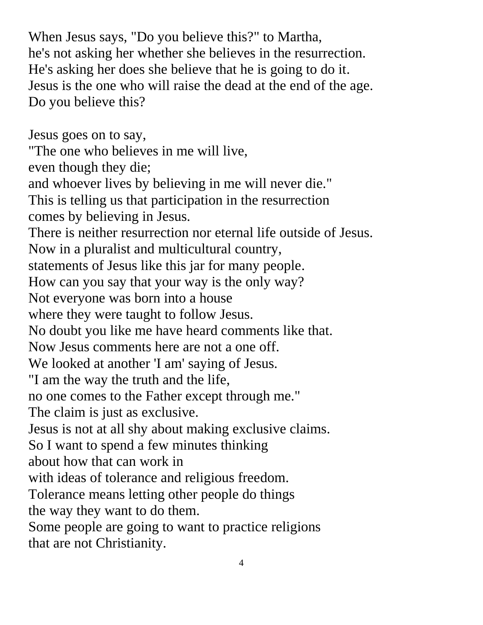When Jesus says, "Do you believe this?" to Martha, he's not asking her whether she believes in the resurrection. He's asking her does she believe that he is going to do it. Jesus is the one who will raise the dead at the end of the age. Do you believe this?

Jesus goes on to say, "The one who believes in me will live, even though they die; and whoever lives by believing in me will never die." This is telling us that participation in the resurrection comes by believing in Jesus. There is neither resurrection nor eternal life outside of Jesus. Now in a pluralist and multicultural country, statements of Jesus like this jar for many people. How can you say that your way is the only way? Not everyone was born into a house where they were taught to follow Jesus. No doubt you like me have heard comments like that. Now Jesus comments here are not a one off. We looked at another 'I am' saying of Jesus. "I am the way the truth and the life, no one comes to the Father except through me." The claim is just as exclusive. Jesus is not at all shy about making exclusive claims. So I want to spend a few minutes thinking about how that can work in with ideas of tolerance and religious freedom. Tolerance means letting other people do things the way they want to do them. Some people are going to want to practice religions that are not Christianity.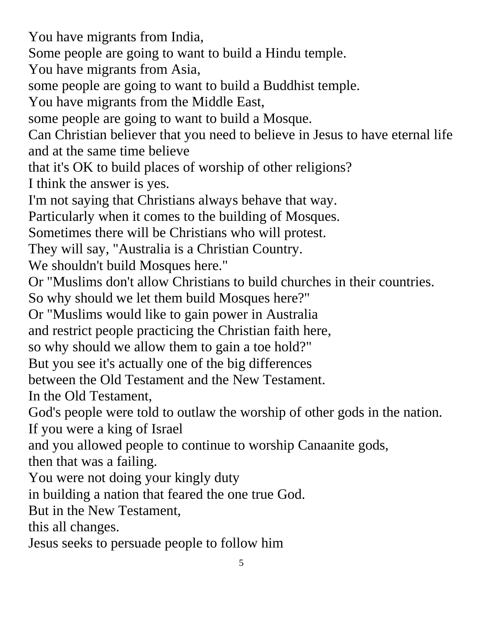You have migrants from India, Some people are going to want to build a Hindu temple. You have migrants from Asia, some people are going to want to build a Buddhist temple. You have migrants from the Middle East, some people are going to want to build a Mosque. Can Christian believer that you need to believe in Jesus to have eternal life and at the same time believe that it's OK to build places of worship of other religions? I think the answer is yes. I'm not saying that Christians always behave that way. Particularly when it comes to the building of Mosques. Sometimes there will be Christians who will protest. They will say, "Australia is a Christian Country. We shouldn't build Mosques here." Or "Muslims don't allow Christians to build churches in their countries. So why should we let them build Mosques here?" Or "Muslims would like to gain power in Australia and restrict people practicing the Christian faith here, so why should we allow them to gain a toe hold?" But you see it's actually one of the big differences between the Old Testament and the New Testament. In the Old Testament, God's people were told to outlaw the worship of other gods in the nation. If you were a king of Israel and you allowed people to continue to worship Canaanite gods, then that was a failing. You were not doing your kingly duty in building a nation that feared the one true God. But in the New Testament, this all changes. Jesus seeks to persuade people to follow him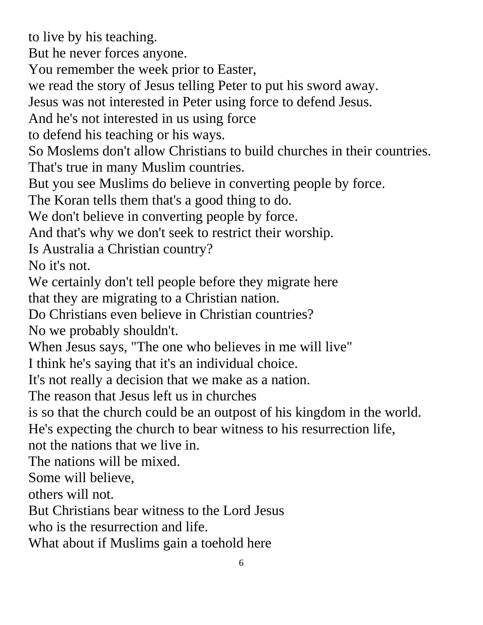to live by his teaching.

But he never forces anyone.

You remember the week prior to Easter,

we read the story of Jesus telling Peter to put his sword away.

Jesus was not interested in Peter using force to defend Jesus.

And he's not interested in us using force

to defend his teaching or his ways.

So Moslems don't allow Christians to build churches in their countries.

That's true in many Muslim countries.

But you see Muslims do believe in converting people by force.

The Koran tells them that's a good thing to do.

We don't believe in converting people by force.

And that's why we don't seek to restrict their worship.

Is Australia a Christian country?

No it's not.

We certainly don't tell people before they migrate here

that they are migrating to a Christian nation.

Do Christians even believe in Christian countries?

No we probably shouldn't.

When Jesus says, "The one who believes in me will live"

I think he's saying that it's an individual choice.

It's not really a decision that we make as a nation.

The reason that Jesus left us in churches

is so that the church could be an outpost of his kingdom in the world.

He's expecting the church to bear witness to his resurrection life,

not the nations that we live in.

The nations will be mixed.

Some will believe,

others will not.

But Christians bear witness to the Lord Jesus

who is the resurrection and life.

What about if Muslims gain a toehold here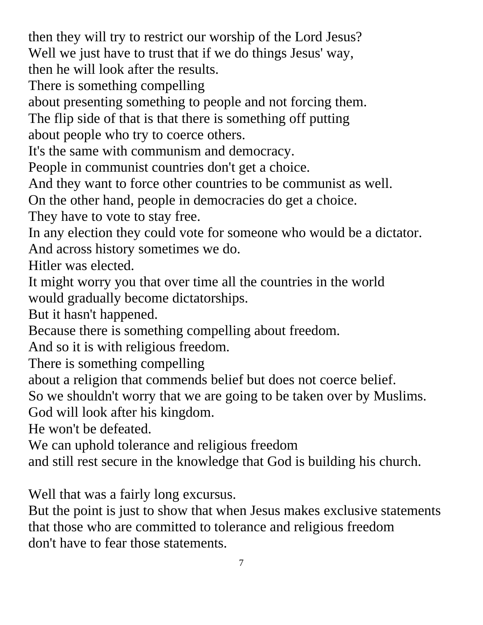then they will try to restrict our worship of the Lord Jesus? Well we just have to trust that if we do things Jesus' way, then he will look after the results.

There is something compelling

about presenting something to people and not forcing them.

The flip side of that is that there is something off putting about people who try to coerce others.

It's the same with communism and democracy.

People in communist countries don't get a choice.

And they want to force other countries to be communist as well.

On the other hand, people in democracies do get a choice.

They have to vote to stay free.

In any election they could vote for someone who would be a dictator. And across history sometimes we do.

Hitler was elected.

It might worry you that over time all the countries in the world would gradually become dictatorships.

But it hasn't happened.

Because there is something compelling about freedom.

And so it is with religious freedom.

There is something compelling

about a religion that commends belief but does not coerce belief.

So we shouldn't worry that we are going to be taken over by Muslims.

God will look after his kingdom.

He won't be defeated.

We can uphold tolerance and religious freedom

and still rest secure in the knowledge that God is building his church.

Well that was a fairly long excursus.

But the point is just to show that when Jesus makes exclusive statements that those who are committed to tolerance and religious freedom don't have to fear those statements.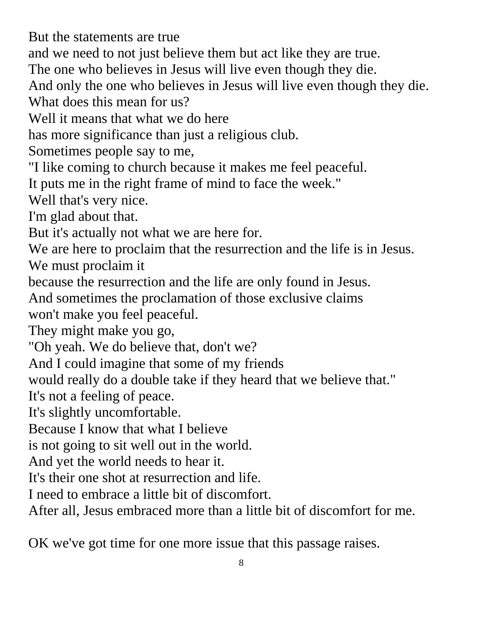But the statements are true

and we need to not just believe them but act like they are true.

The one who believes in Jesus will live even though they die.

And only the one who believes in Jesus will live even though they die.

What does this mean for us?

Well it means that what we do here

has more significance than just a religious club.

Sometimes people say to me,

"I like coming to church because it makes me feel peaceful.

It puts me in the right frame of mind to face the week."

Well that's very nice.

I'm glad about that.

But it's actually not what we are here for.

We are here to proclaim that the resurrection and the life is in Jesus. We must proclaim it

because the resurrection and the life are only found in Jesus.

And sometimes the proclamation of those exclusive claims

won't make you feel peaceful.

They might make you go,

"Oh yeah. We do believe that, don't we?

And I could imagine that some of my friends

would really do a double take if they heard that we believe that."

It's not a feeling of peace.

It's slightly uncomfortable.

Because I know that what I believe

is not going to sit well out in the world.

And yet the world needs to hear it.

It's their one shot at resurrection and life.

I need to embrace a little bit of discomfort.

After all, Jesus embraced more than a little bit of discomfort for me.

OK we've got time for one more issue that this passage raises.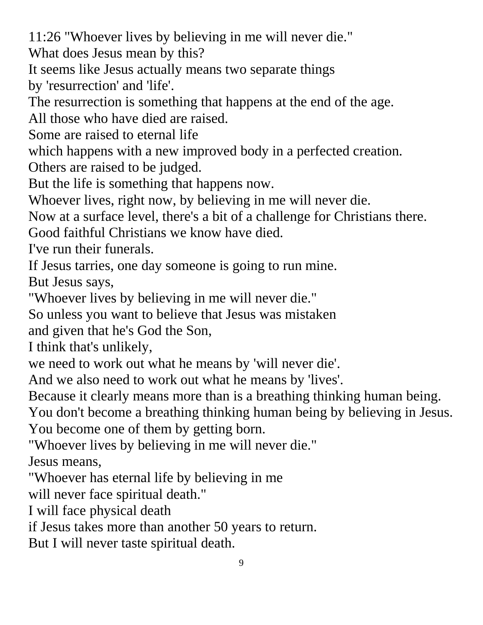11:26 "Whoever lives by believing in me will never die."

What does Jesus mean by this?

It seems like Jesus actually means two separate things by 'resurrection' and 'life'.

The resurrection is something that happens at the end of the age.

All those who have died are raised.

Some are raised to eternal life

which happens with a new improved body in a perfected creation.

Others are raised to be judged.

But the life is something that happens now.

Whoever lives, right now, by believing in me will never die.

Now at a surface level, there's a bit of a challenge for Christians there.

Good faithful Christians we know have died.

I've run their funerals.

If Jesus tarries, one day someone is going to run mine.

But Jesus says,

"Whoever lives by believing in me will never die."

So unless you want to believe that Jesus was mistaken

and given that he's God the Son,

I think that's unlikely,

we need to work out what he means by 'will never die'.

And we also need to work out what he means by 'lives'.

Because it clearly means more than is a breathing thinking human being.

You don't become a breathing thinking human being by believing in Jesus. You become one of them by getting born.

"Whoever lives by believing in me will never die."

Jesus means,

"Whoever has eternal life by believing in me

will never face spiritual death."

I will face physical death

if Jesus takes more than another 50 years to return.

But I will never taste spiritual death.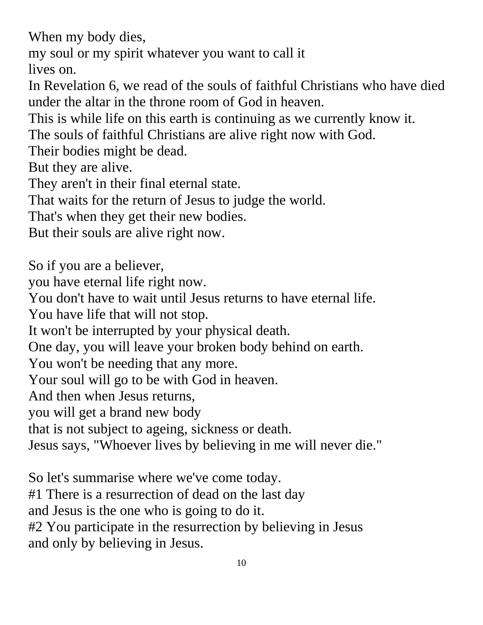When my body dies,

my soul or my spirit whatever you want to call it

lives on.

In Revelation 6, we read of the souls of faithful Christians who have died under the altar in the throne room of God in heaven.

This is while life on this earth is continuing as we currently know it.

The souls of faithful Christians are alive right now with God.

Their bodies might be dead.

But they are alive.

They aren't in their final eternal state.

That waits for the return of Jesus to judge the world.

That's when they get their new bodies.

But their souls are alive right now.

So if you are a believer, you have eternal life right now. You don't have to wait until Jesus returns to have eternal life. You have life that will not stop. It won't be interrupted by your physical death. One day, you will leave your broken body behind on earth. You won't be needing that any more. Your soul will go to be with God in heaven. And then when Jesus returns, you will get a brand new body that is not subject to ageing, sickness or death. Jesus says, "Whoever lives by believing in me will never die."

So let's summarise where we've come today. #1 There is a resurrection of dead on the last day and Jesus is the one who is going to do it. #2 You participate in the resurrection by believing in Jesus and only by believing in Jesus.